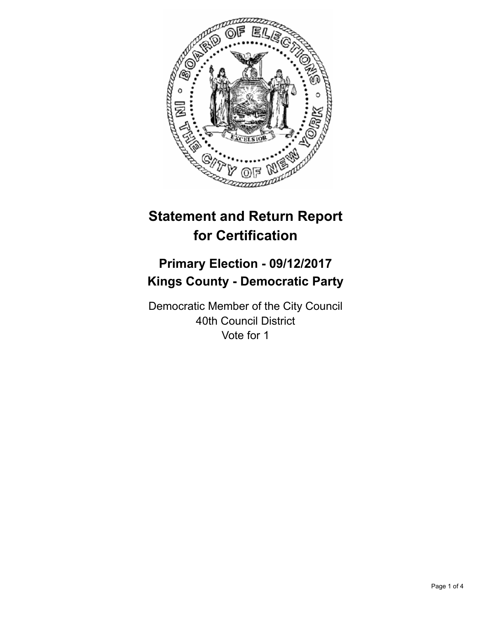

# **Statement and Return Report for Certification**

## **Primary Election - 09/12/2017 Kings County - Democratic Party**

Democratic Member of the City Council 40th Council District Vote for 1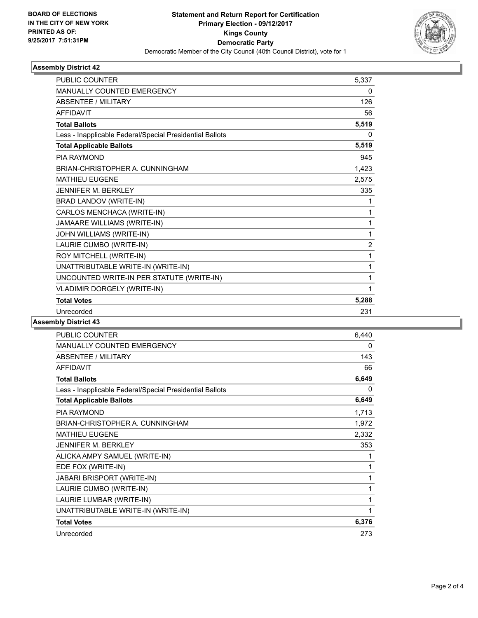

### **Assembly District 42**

| PUBLIC COUNTER                                           | 5.337          |
|----------------------------------------------------------|----------------|
| <b>MANUALLY COUNTED EMERGENCY</b>                        | 0              |
| <b>ABSENTEE / MILITARY</b>                               | 126            |
| <b>AFFIDAVIT</b>                                         | 56             |
| <b>Total Ballots</b>                                     | 5,519          |
| Less - Inapplicable Federal/Special Presidential Ballots | 0              |
| <b>Total Applicable Ballots</b>                          | 5,519          |
| PIA RAYMOND                                              | 945            |
| BRIAN-CHRISTOPHER A. CUNNINGHAM                          | 1,423          |
| <b>MATHIEU EUGENE</b>                                    | 2,575          |
| <b>JENNIFER M. BERKLEY</b>                               | 335            |
| BRAD LANDOV (WRITE-IN)                                   | 1              |
| CARLOS MENCHACA (WRITE-IN)                               | 1              |
| JAMAARE WILLIAMS (WRITE-IN)                              | 1              |
| JOHN WILLIAMS (WRITE-IN)                                 | 1              |
| LAURIE CUMBO (WRITE-IN)                                  | $\overline{2}$ |
| ROY MITCHELL (WRITE-IN)                                  | 1              |
| UNATTRIBUTABLE WRITE-IN (WRITE-IN)                       | 1              |
| UNCOUNTED WRITE-IN PER STATUTE (WRITE-IN)                | 1              |
| VLADIMIR DORGELY (WRITE-IN)                              | 1              |
| <b>Total Votes</b>                                       | 5,288          |
| Unrecorded                                               | 231            |

### **Assembly District 43**

| <b>PUBLIC COUNTER</b>                                    | 6,440        |
|----------------------------------------------------------|--------------|
| MANUALLY COUNTED EMERGENCY                               | 0            |
| <b>ABSENTEE / MILITARY</b>                               | 143          |
| <b>AFFIDAVIT</b>                                         | 66           |
| <b>Total Ballots</b>                                     | 6,649        |
| Less - Inapplicable Federal/Special Presidential Ballots | $\mathbf{0}$ |
| <b>Total Applicable Ballots</b>                          | 6,649        |
| <b>PIA RAYMOND</b>                                       | 1,713        |
| BRIAN-CHRISTOPHER A. CUNNINGHAM                          | 1,972        |
| <b>MATHIEU EUGENE</b>                                    | 2,332        |
| JENNIFER M. BERKLEY                                      | 353          |
| ALICKA AMPY SAMUEL (WRITE-IN)                            | 1            |
| EDE FOX (WRITE-IN)                                       | 1            |
| <b>JABARI BRISPORT (WRITE-IN)</b>                        | 1            |
| LAURIE CUMBO (WRITE-IN)                                  | 1            |
| LAURIE LUMBAR (WRITE-IN)                                 | 1            |
| UNATTRIBUTABLE WRITE-IN (WRITE-IN)                       | 1            |
| <b>Total Votes</b>                                       | 6,376        |
| Unrecorded                                               | 273          |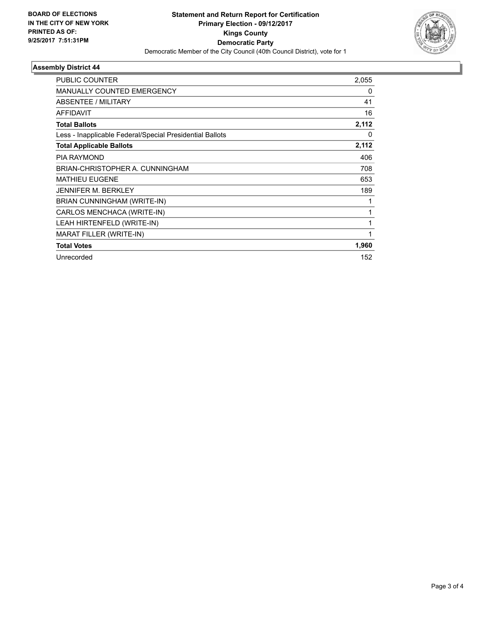

### **Assembly District 44**

| <b>PUBLIC COUNTER</b>                                    | 2,055 |
|----------------------------------------------------------|-------|
| <b>MANUALLY COUNTED EMERGENCY</b>                        | 0     |
| ABSENTEE / MILITARY                                      | 41    |
| <b>AFFIDAVIT</b>                                         | 16    |
| <b>Total Ballots</b>                                     | 2,112 |
| Less - Inapplicable Federal/Special Presidential Ballots | 0     |
| <b>Total Applicable Ballots</b>                          | 2,112 |
| <b>PIA RAYMOND</b>                                       | 406   |
| BRIAN-CHRISTOPHER A. CUNNINGHAM                          | 708   |
| <b>MATHIEU EUGENE</b>                                    | 653   |
| <b>JENNIFER M. BERKLEY</b>                               | 189   |
| BRIAN CUNNINGHAM (WRITE-IN)                              |       |
| CARLOS MENCHACA (WRITE-IN)                               |       |
| LEAH HIRTENFELD (WRITE-IN)                               | 1     |
| MARAT FILLER (WRITE-IN)                                  | 1     |
| <b>Total Votes</b>                                       | 1,960 |
| Unrecorded                                               | 152   |